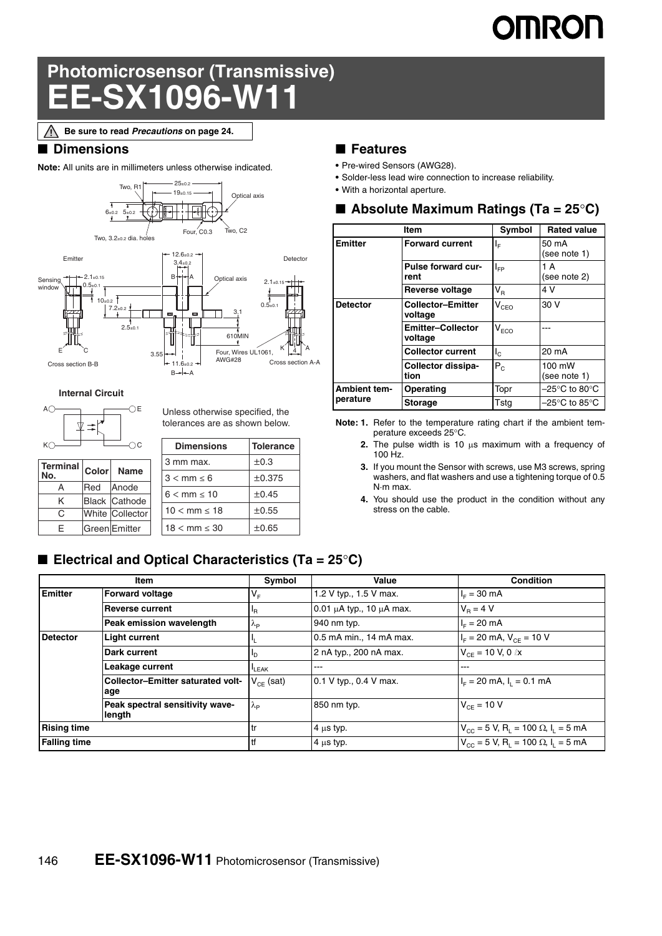# **OMRON**

## **Photomicrosensor (Transmissive) EE-SX1096-W11**

**Be sure to read** *Precautions* **on page 24.**Λ

#### ■ **Dimensions**

**Note:** All units are in millimeters unless otherwise indicated.



**Internal Circuit**



|   | Terminal Color | Name                 |  | 3 mm max.                |  |
|---|----------------|----------------------|--|--------------------------|--|
|   |                |                      |  | $3 < mm \leq 6$          |  |
|   | <b>Red</b>     | <b>Anode</b>         |  | $6 < mm \leq 10$         |  |
| ĸ |                | <b>Black Cathode</b> |  |                          |  |
| C |                | White Collector      |  | $10 < \text{mm} < 18$    |  |
| F |                | <b>Green</b> Emitter |  | $18 < \text{mm} \leq 30$ |  |
|   |                |                      |  |                          |  |

Unless otherwise specified, the tolerances are as shown below.

| <b>Dimensions</b>        | <b>Tolerance</b> |
|--------------------------|------------------|
| 3 mm max.                | $\pm 0.3$        |
| $3 < mm \leq 6$          | ±0.375           |
| $6 < mm \leq 10$         | ±0.45            |
| $10 < mm \le 18$         | ±0.55            |
| $18 < \text{mm} \leq 30$ | ±0.65            |

#### ■ **Features**

- **•** Pre-wired Sensors (AWG28).
- **•** Solder-less lead wire connection to increase reliability.
- **•** With a horizontal aperture.

|  |  |  |  | Absolute Maximum Ratings (Ta = $25^{\circ}$ C) |
|--|--|--|--|------------------------------------------------|
|--|--|--|--|------------------------------------------------|

|                 | Item                                | Symbol                  | <b>Rated value</b>                 |
|-----------------|-------------------------------------|-------------------------|------------------------------------|
| <b>Emitter</b>  | <b>Forward current</b>              | ΙF                      | 50 mA<br>(see note 1)              |
|                 | Pulse forward cur-<br>rent          | $I_{FP}$                | 1 A<br>(see note 2)                |
|                 | Reverse voltage                     | $\mathsf{V}_\mathsf{R}$ | 4 V                                |
| <b>Detector</b> | <b>Collector-Emitter</b><br>voltage | $V_{CEO}$               | 30 V                               |
|                 | <b>Emitter-Collector</b><br>voltage | $V_{ECO}$               |                                    |
|                 | <b>Collector current</b>            | $I_{\rm c}$             | 20 mA                              |
|                 | Collector dissipa-<br>tion          | $P_{C}$                 | 100 mW<br>(see note 1)             |
| Ambient tem-    | Operating                           | Topr                    | $-25^{\circ}$ C to 80 $^{\circ}$ C |
| perature        | <b>Storage</b>                      | Tstg                    | $-25^{\circ}$ C to 85 $^{\circ}$ C |

**Note: 1.** Refer to the temperature rating chart if the ambient temperature exceeds 25°C.

**2.** The pulse width is 10  $\mu$ s maximum with a frequency of 100 Hz.

**3.** If you mount the Sensor with screws, use M3 screws, spring washers, and flat washers and use a tightening torque of 0.5 N·m max.

**4.** You should use the product in the condition without any stress on the cable.

#### ■ **Electrical and Optical Characteristics (Ta = 25<sup>o</sup>C)**

|                     | Item                                            | Symbol            | Value                              | <b>Condition</b>                                                             |
|---------------------|-------------------------------------------------|-------------------|------------------------------------|------------------------------------------------------------------------------|
| <b>Emitter</b>      | <b>Forward voltage</b>                          | $V_{F}$           | 1.2 V typ., 1.5 V max.             | $I_F = 30$ mA                                                                |
|                     | <b>Reverse current</b>                          | <sup>I</sup> R    | $0.01 \mu A$ typ., 10 $\mu A$ max. | $V_{\rm B} = 4 V$                                                            |
|                     | Peak emission wavelength                        | $\lambda_{\rm P}$ | 940 nm typ.                        | $IE = 20 mA$                                                                 |
| <b>Detector</b>     | <b>Light current</b>                            |                   | 0.5 mA min., 14 mA max.            | $I_F = 20$ mA, $V_{CF} = 10$ V                                               |
|                     | Dark current                                    | סי                | 2 nA typ., 200 nA max.             | $V_{CF}$ = 10 V, 0 $\ell$ x                                                  |
|                     | Leakage current                                 | <sup>I</sup> LEAK | ---                                | ---                                                                          |
|                     | <b>Collector-Emitter saturated volt-</b><br>age | $V_{CE}$ (sat)    | 0.1 V typ., 0.4 V max.             | $I_F = 20$ mA, $I_L = 0.1$ mA                                                |
|                     | Peak spectral sensitivity wave-<br>length       | $\lambda_{\rm P}$ | 850 nm typ.                        | $V_{CF}$ = 10 V                                                              |
| <b>Rising time</b>  |                                                 | tr                | $4 \mu s$ typ.                     | $V_{\text{cc}} = 5$ V, R <sub>1</sub> = 100 $\Omega$ , I <sub>1</sub> = 5 mA |
| <b>Falling time</b> |                                                 | <b>tf</b>         | $4 \mu s$ typ.                     | $V_{\text{cc}} = 5$ V, R <sub>i</sub> = 100 $\Omega$ , I <sub>i</sub> = 5 mA |